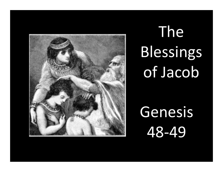

# The Blessings of Jacob

Genesis 48-49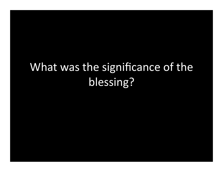# What was the significance of the blessing?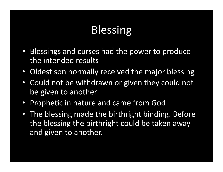# Blessing

- Blessings and curses had the power to produce the intended results
- Oldest son normally received the major blessing
- Could not be withdrawn or given they could not be given to another
- Prophetic in nature and came from God
- The blessing made the birthright binding. Before the blessing the birthright could be taken away and given to another.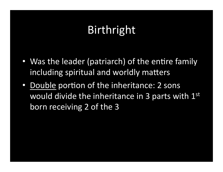# Birthright

- Was the leader (patriarch) of the entire family including spiritual and worldly matters
- Double portion of the inheritance: 2 sons would divide the inheritance in  $3$  parts with  $1^{st}$ born receiving 2 of the 3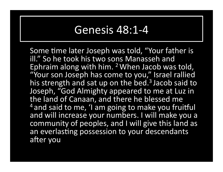#### Genesis 48:1-4

Some time later Joseph was told, "Your father is ill." So he took his two sons Manasseh and Ephraim along with him. <sup>2</sup> When Jacob was told, "Your son Joseph has come to you," Israel rallied his strength and sat up on the bed.<sup>3</sup> Jacob said to Joseph, "God Almighty appeared to me at Luz in the land of Canaan, and there he blessed me <sup>4</sup> and said to me, 'I am going to make you fruitful and will increase your numbers. I will make you a community of peoples, and I will give this land as an everlasting possession to your descendants after you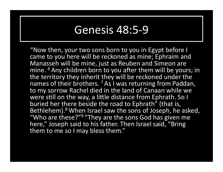#### Genesis 48:5-9

"Now then, your two sons born to you in Egypt before I came to you here will be reckoned as mine; Ephraim and Manasseh will be mine, just as Reuben and Simeon are mine. <sup>6</sup> Any children born to you after them will be yours; in the territory they inherit they will be reckoned under the names of their brothers.  $7$  As I was returning from Paddan, to my sorrow Rachel died in the land of Canaan while we were still on the way, a little distance from Ephrath. So I buried her there beside the road to Ephrath" (that is, Bethlehem).<sup>8</sup> When Israel saw the sons of Joseph, he asked, "Who are these?"<sup>9</sup> "They are the sons God has given me here," Joseph said to his father. Then Israel said, "Bring them to me so I may bless them."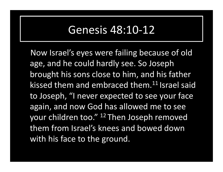#### Genesis 48:10-12

Now Israel's eyes were failing because of old age, and he could hardly see. So Joseph brought his sons close to him, and his father kissed them and embraced them.<sup>11</sup> Israel said to Joseph, "I never expected to see your face again, and now God has allowed me to see your children too." <sup>12</sup> Then Joseph removed them from Israel's knees and bowed down with his face to the ground.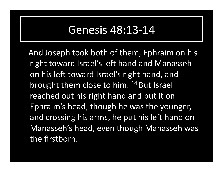#### Genesis 48:13-14

And Joseph took both of them, Ephraim on his right toward Israel's left hand and Manasseh on his left toward Israel's right hand, and brought them close to him. <sup>14</sup> But Israel reached out his right hand and put it on Ephraim's head, though he was the younger, and crossing his arms, he put his left hand on Manasseh's head, even though Manasseh was the firstborn.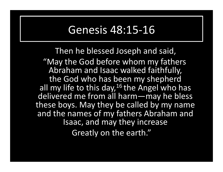#### Genesis 48:15-16

Then he blessed Joseph and said,

"May the God before whom my fathers Abraham and Isaac walked faithfully, the God who has been my shepherd all my life to this day,  $16$  the Angel who has delivered me from all harm—may he bless these boys. May they be called by my name and the names of my fathers Abraham and Isaac, and may they increase Greatly on the earth."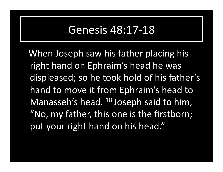#### Genesis 48:17-18

When Joseph saw his father placing his right hand on Ephraim's head he was displeased; so he took hold of his father's hand to move it from Ephraim's head to Manasseh's head.  $^{18}$  Joseph said to him, "No, my father, this one is the firstborn; put your right hand on his head."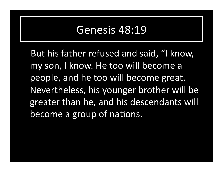But his father refused and said, "I know, my son, I know. He too will become a people, and he too will become great. Nevertheless, his younger brother will be greater than he, and his descendants will become a group of nations.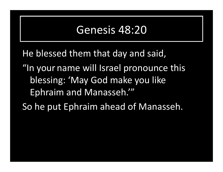He blessed them that day and said,

- "In your name will Israel pronounce this blessing: 'May God make you like Ephraim and Manasseh."
- So he put Ephraim ahead of Manasseh.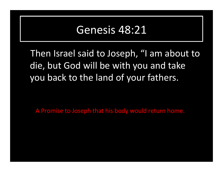Then Israel said to Joseph, "I am about to die, but God will be with you and take you back to the land of your fathers.

A Promise to Joseph that his body would return home.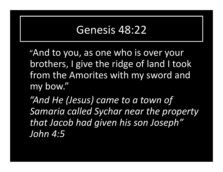"And to you, as one who is over your brothers, I give the ridge of land I took from the Amorites with my sword and my bow." 

 *"And He (Jesus) came to a town of*  Samaria called Sychar near the property *that Jacob had given his son Joseph" John 4:5*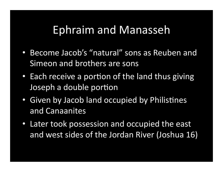## Ephraim and Manasseh

- Become Jacob's "natural" sons as Reuben and Simeon and brothers are sons
- Each receive a portion of the land thus giving Joseph a double portion
- Given by Jacob land occupied by Philistines and Canaanites
- Later took possession and occupied the east and west sides of the Jordan River (Joshua 16)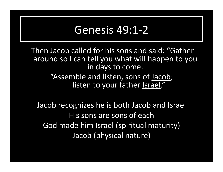#### Genesis 49:1-2

Then Jacob called for his sons and said: "Gather around so I can tell you what will happen to you in days to come. "Assemble and listen, sons of Jacob;

listen to your father Israel."

Jacob recognizes he is both Jacob and Israel His sons are sons of each God made him Israel (spiritual maturity) Jacob (physical nature)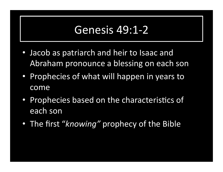### Genesis 49:1-2

- Jacob as patriarch and heir to Isaac and Abraham pronounce a blessing on each son
- Prophecies of what will happen in years to come
- Prophecies based on the characteristics of each son
- The first "*knowing*" prophecy of the Bible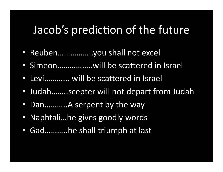## Jacob's prediction of the future

- Reuben ... ... ... ........ you shall not excel
- Simeon...................will be scattered in Israel
- Levi............ will be scattered in Israel
- Judah……..scepter will not depart from Judah
- Dan………..A serpent by the way
- Naphtali...he gives goodly words
- Gad...........he shall triumph at last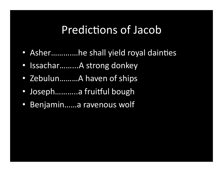## Predictions of Jacob

- Asher.............he shall yield royal dainties
- Issachar.........A strong donkey
- Zebulun.........A haven of ships
- Joseph...........a fruitful bough
- Benjamin.....a ravenous wolf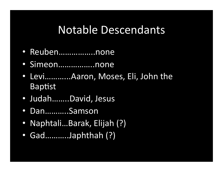## Notable Descendants

- Reuben……………..none
- Simeon……………..none
- Levi............Aaron, Moses, Eli, John the Baptist
- Judah........David, Jesus
- Dan………..Samson
- Naphtali...Barak, Elijah (?)
- Gad..........Japhthah (?)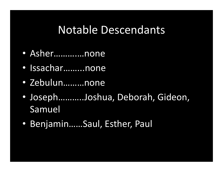### Notable Descendants

- Asher……….…none
- Issachar……...none
- Zebulun………none
- Joseph...........Joshua, Deborah, Gideon, Samuel
- Benjamin......Saul, Esther, Paul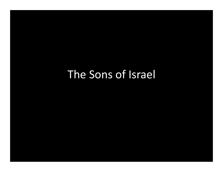# The Sons of Israel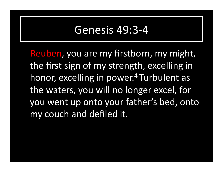#### Genesis 49:3-4

Reuben, you are my firstborn, my might, the first sign of my strength, excelling in honor, excelling in power.<sup>4</sup> Turbulent as the waters, you will no longer excel, for you went up onto your father's bed, onto my couch and defiled it.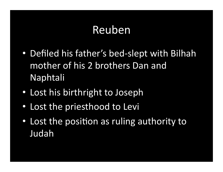# Reuben

- Defiled his father's bed-slept with Bilhah mother of his 2 brothers Dan and Naphtali
- Lost his birthright to Joseph
- Lost the priesthood to Levi
- Lost the position as ruling authority to Judah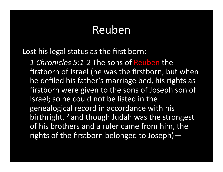## Reuben

Lost his legal status as the first born:

1 Chronicles 5:1-2 The sons of Reuben the firstborn of Israel (he was the firstborn, but when he defiled his father's marriage bed, his rights as firstborn were given to the sons of Joseph son of Israel; so he could not be listed in the genealogical record in accordance with his birthright, <sup>2</sup> and though Judah was the strongest of his brothers and a ruler came from him, the rights of the firstborn belonged to Joseph) $-$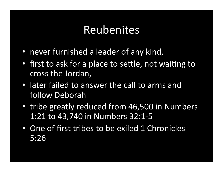## Reubenites

- never furnished a leader of any kind,
- first to ask for a place to settle, not waiting to cross the Jordan,
- later failed to answer the call to arms and follow Deborah
- tribe greatly reduced from 46,500 in Numbers 1:21 to 43,740 in Numbers 32:1-5
- One of first tribes to be exiled 1 Chronicles 5:26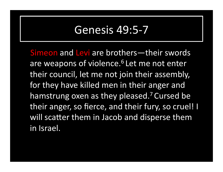### Genesis 49:5-7

Simeon and Levi are brothers—their swords are weapons of violence.<sup>6</sup> Let me not enter their council, let me not join their assembly, for they have killed men in their anger and hamstrung oxen as they pleased.<sup>7</sup> Cursed be their anger, so fierce, and their fury, so cruel! I will scatter them in Jacob and disperse them in Israel.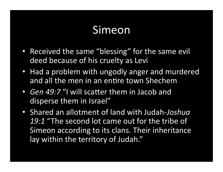## Simeon

- Received the same "blessing" for the same evil deed because of his cruelty as Levi
- Had a problem with ungodly anger and murdered and all the men in an entire town Shechem
- *Gen 49:7 "I* will scatter them in Jacob and disperse them in Israel"
- Shared an allotment of land with Judah-*Joshua*  19:1 "The second lot came out for the tribe of Simeon according to its clans. Their inheritance lay within the territory of Judah."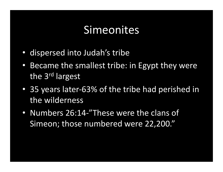## Simeonites

- dispersed into Judah's tribe
- Became the smallest tribe: in Egypt they were the  $3<sup>rd</sup>$  largest
- 35 years later-63% of the tribe had perished in the wilderness
- Numbers 26:14-"These were the clans of Simeon; those numbered were 22,200."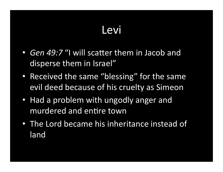# Levi

- *Gen 49:7* "I will scatter them in Jacob and disperse them in Israel"
- Received the same "blessing" for the same evil deed because of his cruelty as Simeon
- Had a problem with ungodly anger and murdered and entire town
- The Lord became his inheritance instead of land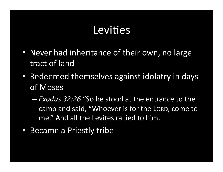## Levities

- Never had inheritance of their own, no large tract of land
- Redeemed themselves against idolatry in days of Moses
	- $-$  *Exodus 32:26* "So he stood at the entrance to the camp and said, "Whoever is for the LORD, come to me." And all the Levites rallied to him.
- Became a Priestly tribe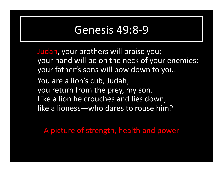#### Genesis 49:8-9

Judah, your brothers will praise you; your hand will be on the neck of your enemies; your father's sons will bow down to you. You are a lion's cub, Judah; you return from the prey, my son. Like a lion he crouches and lies down, like a lioness—who dares to rouse him?

A picture of strength, health and power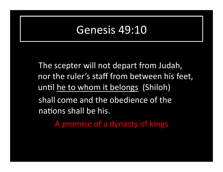The scepter will not depart from Judah, nor the ruler's staff from between his feet, until he to whom it belongs (Shiloh) shall come and the obedience of the nations shall be his.

A promise of a dynasty of kings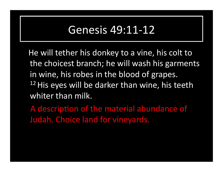### Genesis 49:11-12

He will tether his donkey to a vine, his colt to the choicest branch; he will wash his garments in wine, his robes in the blood of grapes.  $12$  His eyes will be darker than wine, his teeth whiter than milk.

A description of the material abundance of Judah. Choice land for vineyards.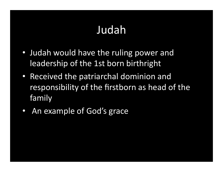# Judah

- Judah would have the ruling power and leadership of the 1st born birthright
- Received the patriarchal dominion and responsibility of the firstborn as head of the family
- An example of God's grace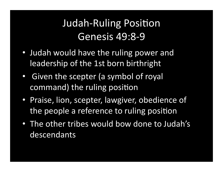## Judah-Ruling Position Genesis 49:8-9

- Judah would have the ruling power and leadership of the 1st born birthright
- Given the scepter (a symbol of royal command) the ruling position
- Praise, lion, scepter, lawgiver, obedience of the people a reference to ruling position
- The other tribes would bow done to Judah's descendants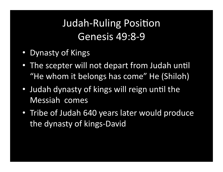# Judah-Ruling Position Genesis 49:8-9

- Dynasty of Kings
- The scepter will not depart from Judah until "He whom it belongs has come" He (Shiloh)
- Judah dynasty of kings will reign until the Messiah comes
- Tribe of Judah 640 years later would produce the dynasty of kings-David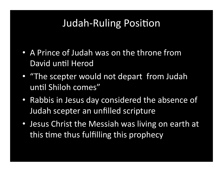## Judah-Ruling Position

- A Prince of Judah was on the throne from David until Herod
- "The scepter would not depart from Judah until Shiloh comes"
- Rabbis in Jesus day considered the absence of Judah scepter an unfilled scripture
- Jesus Christ the Messiah was living on earth at this time thus fulfilling this prophecy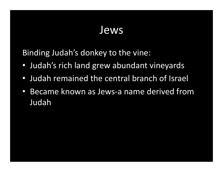## Jews

Binding Judah's donkey to the vine:

- Judah's rich land grew abundant vineyards
- Judah remained the central branch of Israel
- Became known as Jews-a name derived from Judah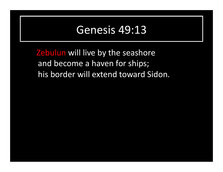**Zebulun** will live by the seashore and become a haven for ships; his border will extend toward Sidon.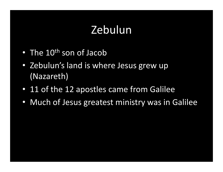# Zebulun

- The  $10^{th}$  son of Jacob
- Zebulun's land is where Jesus grew up (Nazareth)
- 11 of the 12 apostles came from Galilee
- Much of Jesus greatest ministry was in Galilee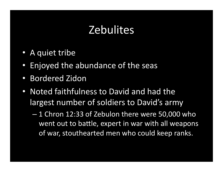# **Zebulites**

- A quiet tribe
- Enjoyed the abundance of the seas
- Bordered Zidon
- Noted faithfulness to David and had the largest number of soldiers to David's army
	- $-1$  Chron 12:33 of Zebulon there were 50,000 who went out to battle, expert in war with all weapons of war, stouthearted men who could keep ranks.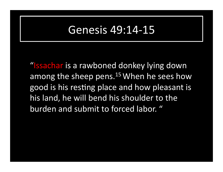### Genesis 49:14-15

"Issachar is a rawboned donkey lying down among the sheep pens.<sup>15</sup> When he sees how good is his resting place and how pleasant is his land, he will bend his shoulder to the burden and submit to forced labor. "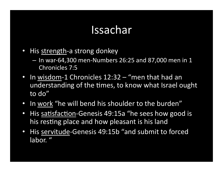## Issachar

- His strength-a strong donkey
	- $-$  In war-64,300 men-Numbers 26:25 and 87,000 men in 1 Chronicles 7:5
- In wisdom-1 Chronicles  $12:32 -$  "men that had an understanding of the times, to know what Israel ought to do"
- In work "he will bend his shoulder to the burden"
- His satisfaction-Genesis 49:15a "he sees how good is his resting place and how pleasant is his land
- His servitude-Genesis 49:15b "and submit to forced labor."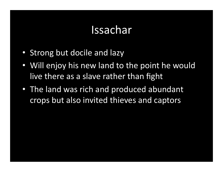## Issachar

- Strong but docile and lazy
- Will enjoy his new land to the point he would live there as a slave rather than fight
- The land was rich and produced abundant crops but also invited thieves and captors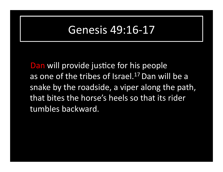## Genesis 49:16-17

Dan will provide justice for his people as one of the tribes of Israel.<sup>17</sup> Dan will be a snake by the roadside, a viper along the path, that bites the horse's heels so that its rider tumbles backward.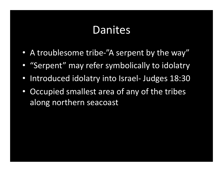# Danites

- A troublesome tribe-"A serpent by the way"
- "Serpent" may refer symbolically to idolatry
- Introduced idolatry into Israel- Judges 18:30
- Occupied smallest area of any of the tribes along northern seacoast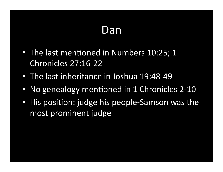# Dan

- The last mentioned in Numbers 10:25; 1 Chronicles 27:16-22
- The last inheritance in Joshua 19:48-49
- No genealogy mentioned in 1 Chronicles 2-10
- His position: judge his people-Samson was the most prominent judge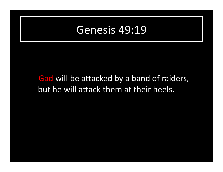#### Gad will be attacked by a band of raiders, but he will attack them at their heels.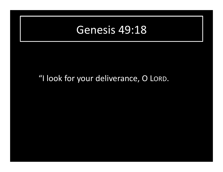#### "I look for your deliverance, O LORD.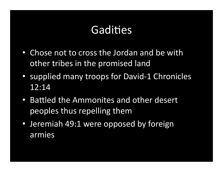# Gadities

- Chose not to cross the Jordan and be with other tribes in the promised land
- supplied many troops for David-1 Chronicles 12:14
- Battled the Ammonites and other desert peoples thus repelling them
- Jeremiah 49:1 were opposed by foreign armies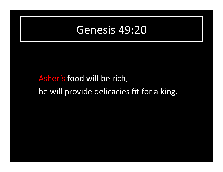## Asher's food will be rich, he will provide delicacies fit for a king.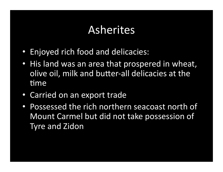## Asherites

- Enjoyed rich food and delicacies:
- His land was an area that prospered in wheat, olive oil, milk and butter-all delicacies at the time
- Carried on an export trade
- Possessed the rich northern seacoast north of Mount Carmel but did not take possession of **Tyre and Zidon**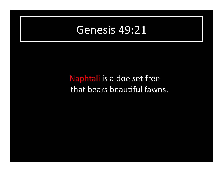#### Naphtali is a doe set free that bears beautiful fawns.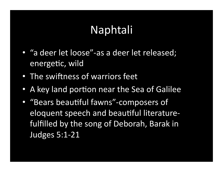# Naphtali

- "a deer let loose"-as a deer let released; energetic, wild
- The swiftness of warriors feet
- A key land portion near the Sea of Galilee
- "Bears beautiful fawns"-composers of eloquent speech and beautiful literaturefulfilled by the song of Deborah, Barak in Judges 5:1-21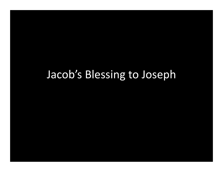# Jacob's Blessing to Joseph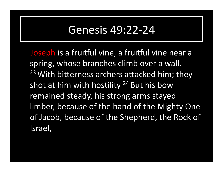## Genesis 49:22-24

Joseph is a fruitful vine, a fruitful vine near a spring, whose branches climb over a wall. <sup>23</sup> With bitterness archers attacked him; they shot at him with hostility  $24$  But his bow remained steady, his strong arms stayed limber, because of the hand of the Mighty One of Jacob, because of the Shepherd, the Rock of Israel,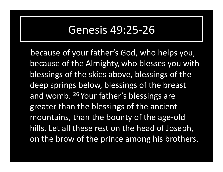### Genesis 49:25-26

because of your father's God, who helps you, because of the Almighty, who blesses you with blessings of the skies above, blessings of the deep springs below, blessings of the breast and womb.  $26$  Your father's blessings are greater than the blessings of the ancient mountains, than the bounty of the age-old hills. Let all these rest on the head of Joseph, on the brow of the prince among his brothers.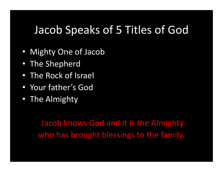## Jacob Speaks of 5 Titles of God

- Mighty One of Jacob
- The Shepherd
- The Rock of Israel
- Your father's God
- The Almighty

Jacob knows God and it is the Almighty who has brought blessings to the family.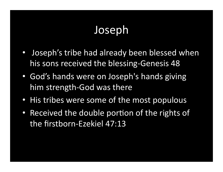# Joseph

- Joseph's tribe had already been blessed when his sons received the blessing-Genesis 48
- God's hands were on Joseph's hands giving him strength-God was there
- His tribes were some of the most populous
- Received the double portion of the rights of the firstborn-Ezekiel 47:13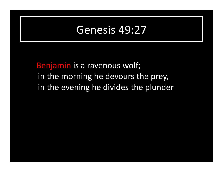Benjamin is a ravenous wolf; in the morning he devours the prey, in the evening he divides the plunder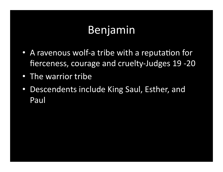# Benjamin

- A ravenous wolf-a tribe with a reputation for fierceness, courage and cruelty-Judges 19 -20
- The warrior tribe
- Descendents include King Saul, Esther, and Paul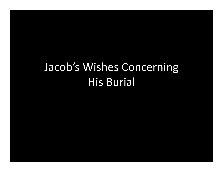# Jacob's Wishes Concerning **His Burial**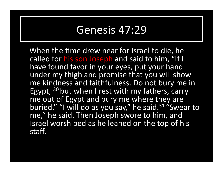When the time drew near for Israel to die, he called for his son Joseph and said to him, "If I have found favor in your eyes, put your hand under my thigh and promise that you will show me kindness and faithfulness. Do not bury me in Egypt,  $30$  but when I rest with my fathers, carry me out of Egypt and bury me where they are buried." "I will do as you say," he said.<sup>31</sup> "Swear to me," he said. Then Joseph swore to him, and Israel worshiped as he leaned on the top of his staff.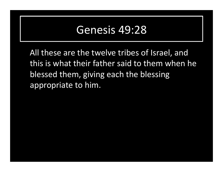All these are the twelve tribes of Israel, and this is what their father said to them when he blessed them, giving each the blessing appropriate to him.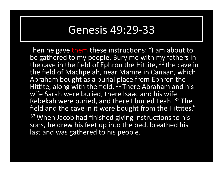## Genesis 49:29-33

Then he gave them these instructions: "I am about to be gathered to my people. Bury me with my fathers in the cave in the field of Ephron the Hittite,  $30$  the cave in the field of Machpelah, near Mamre in Canaan, which Abraham bought as a burial place from Ephron the Hittite, along with the field. <sup>31</sup> There Abraham and his wife Sarah were buried, there Isaac and his wife Rebekah were buried, and there I buried Leah. <sup>32</sup> The field and the cave in it were bought from the Hittites." 33 When Jacob had finished giving instructions to his sons, he drew his feet up into the bed, breathed his last and was gathered to his people.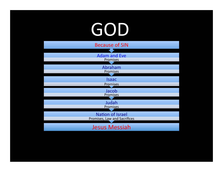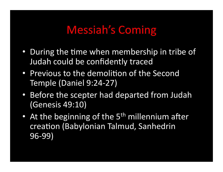## Messiah's Coming

- During the time when membership in tribe of Judah could be confidently traced
- Previous to the demolition of the Second Temple (Daniel 9:24-27)
- Before the scepter had departed from Judah (Genesis 49:10)
- At the beginning of the  $5<sup>th</sup>$  millennium after creation (Babylonian Talmud, Sanhedrin 96-99)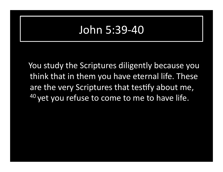## John 5:39-40

You study the Scriptures diligently because you think that in them you have eternal life. These are the very Scriptures that testify about me, <sup>40</sup> yet you refuse to come to me to have life.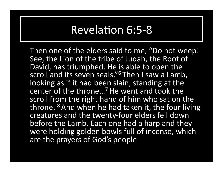## Revelation 6:5-8

Then one of the elders said to me, "Do not weep! See, the Lion of the tribe of Judah, the Root of David, has triumphed. He is able to open the scroll and its seven seals."<sup>6</sup> Then I saw a Lamb, looking as if it had been slain, standing at the center of the throne...<sup>7</sup> He went and took the scroll from the right hand of him who sat on the throne. <sup>8</sup> And when he had taken it, the four living creatures and the twenty-four elders fell down before the Lamb. Each one had a harp and they were holding golden bowls full of incense, which are the prayers of God's people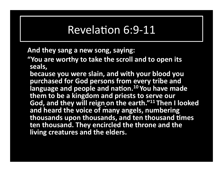## Revelation 6:9-11

And they sang a new song, saying:

**"You are worthy to take the scroll and to open its** seals,

because you were slain, and with your blood you purchased for God persons from every tribe and language and people and nation.<sup>10</sup> You have made them to be a kingdom and priests to serve our **God, and they will reign on the earth."11 Then I looked** and heard the voice of many angels, numbering thousands upon thousands, and ten thousand times **ten thousand. They encircled the throne and the living creatures and the elders.**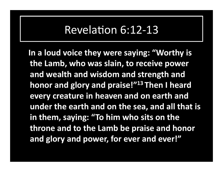## Revelation 6:12-13

In a loud voice they were saying: "Worthy is the Lamb, who was slain, to receive power and wealth and wisdom and strength and **honor and glory and praise!"**<sup>13</sup> Then I heard **every creature in heaven and on earth and** under the earth and on the sea, and all that is in them, saying: "To him who sits on the **throne and to the Lamb be praise and honor** and glory and power, for ever and ever!"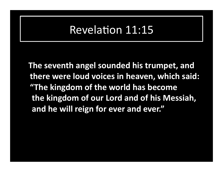### Revelation 11:15

**The seventh angel sounded his trumpet, and** there were loud voices in heaven, which said: **"The kingdom of the world has become** the kingdom of our Lord and of his Messiah, and he will reign for ever and ever."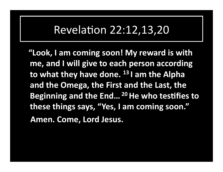### Revelation 22:12,13,20

"Look, I am coming soon! My reward is with me, and I will give to each person according **to what they have done.** <sup>13</sup> I am the Alpha and the Omega, the First and the Last, the **Beginning and the End...<sup>20</sup> He who testifies to** these things says, "Yes, I am coming soon." Amen. Come, Lord Jesus.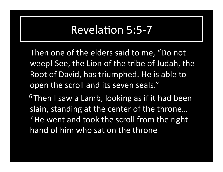#### Revelation 5:5-7

Then one of the elders said to me, "Do not weep! See, the Lion of the tribe of Judah, the Root of David, has triumphed. He is able to open the scroll and its seven seals."

 $6$  Then I saw a Lamb, looking as if it had been slain, standing at the center of the throne...  $<sup>7</sup>$  He went and took the scroll from the right</sup> hand of him who sat on the throne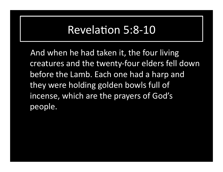#### Revelation 5:8-10

And when he had taken it, the four living creatures and the twenty-four elders fell down before the Lamb. Each one had a harp and they were holding golden bowls full of incense, which are the prayers of God's people.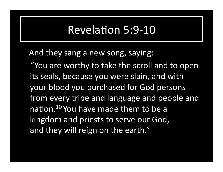#### Revelation 5:9-10

And they sang a new song, saying:

"You are worthy to take the scroll and to open its seals, because you were slain, and with your blood you purchased for God persons from every tribe and language and people and nation.<sup>10</sup> You have made them to be a kingdom and priests to serve our God, and they will reign on the earth."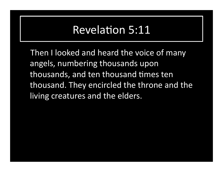### **Revelation 5:11**

Then I looked and heard the voice of many angels, numbering thousands upon thousands, and ten thousand times ten thousand. They encircled the throne and the living creatures and the elders.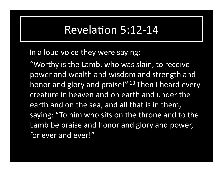#### Revelation 5:12-14

#### In a loud voice they were saying:

"Worthy is the Lamb, who was slain, to receive power and wealth and wisdom and strength and honor and glory and praise!"  $13$  Then I heard every creature in heaven and on earth and under the earth and on the sea, and all that is in them, saying: "To him who sits on the throne and to the Lamb be praise and honor and glory and power, for ever and ever!"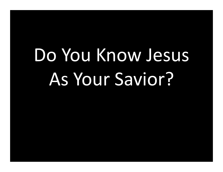# Do You Know Jesus As Your Savior?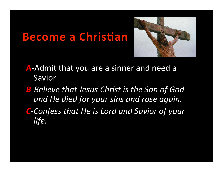## **Become a Christian**



- **A-Admit that you are a sinner and need a** Savior
- **B**-Believe that Jesus Christ is the Son of God and He died for your sins and rose again.
- **C**-Confess that He is Lord and Savior of your life.